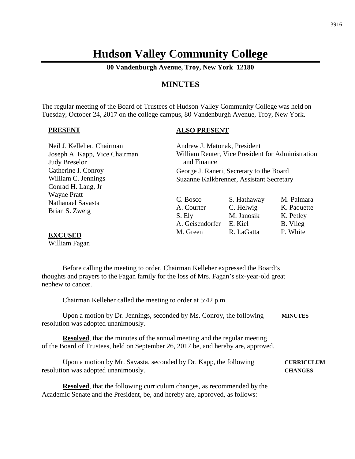# **Hudson Valley Community College**

**80 Vandenburgh Avenue, Troy, New York 12180**

# **MINUTES**

The regular meeting of the Board of Trustees of Hudson Valley Community College was held on Tuesday, October 24, 2017 on the college campus, 80 Vandenburgh Avenue, Troy, New York.

#### **PRESENT**

#### **ALSO PRESENT**

| Neil J. Kelleher, Chairman    | Andrew J. Matonak, President                      |             |             |
|-------------------------------|---------------------------------------------------|-------------|-------------|
| Joseph A. Kapp, Vice Chairman | William Reuter, Vice President for Administration |             |             |
| <b>Judy Breselor</b>          | and Finance                                       |             |             |
| Catherine I. Conroy           | George J. Raneri, Secretary to the Board          |             |             |
| William C. Jennings           | Suzanne Kalkbrenner, Assistant Secretary          |             |             |
| Conrad H. Lang, Jr            |                                                   |             |             |
| <b>Wayne Pratt</b>            |                                                   |             | M. Palmara  |
| Nathanael Savasta             | C. Bosco                                          | S. Hathaway |             |
| Brian S. Zweig                | A. Courter                                        | C. Helwig   | K. Paquette |
|                               | S. Ely                                            | M. Janosik  | K. Petley   |
|                               | A. Geisendorfer                                   | E. Kiel     | B. Vlieg    |
| <u>nvarionn</u>               | M. Green                                          | R. LaGatta  | P. White    |

#### **EXCUSED**

William Fagan

Before calling the meeting to order, Chairman Kelleher expressed the Board's thoughts and prayers to the Fagan family for the loss of Mrs. Fagan's six-year-old great nephew to cancer.

Chairman Kelleher called the meeting to order at 5:42 p.m.

Upon a motion by Dr. Jennings, seconded by Ms. Conroy, the following **MINUTES** resolution was adopted unanimously.

**Resolved**, that the minutes of the annual meeting and the regular meeting of the Board of Trustees, held on September 26, 2017 be, and hereby are, approved.

Upon a motion by Mr. Savasta, seconded by Dr. Kapp, the following **CURRICULUM** resolution was adopted unanimously. **CHANGES**

**Resolved**, that the following curriculum changes, as recommended by the Academic Senate and the President, be, and hereby are, approved, as follows: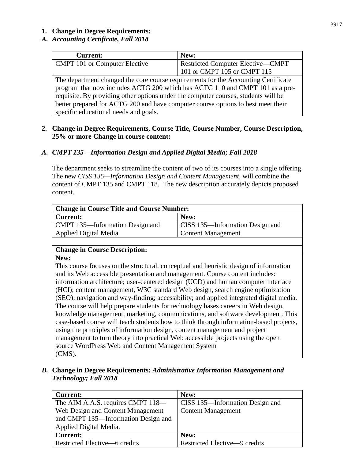#### **1. Change in Degree Requirements:**

# *A. Accounting Certificate, Fall 2018*

| <b>Current:</b>                                                                    | New:                                     |  |  |
|------------------------------------------------------------------------------------|------------------------------------------|--|--|
| <b>CMPT</b> 101 or Computer Elective                                               | <b>Restricted Computer Elective—CMPT</b> |  |  |
|                                                                                    | 101 or CMPT 105 or CMPT 115              |  |  |
| The department changed the core course requirements for the Accounting Certificate |                                          |  |  |
| program that now includes ACTG 200 which has ACTG 110 and CMPT 101 as a pre-       |                                          |  |  |
| requisite. By providing other options under the computer courses, students will be |                                          |  |  |
| better prepared for ACTG 200 and have computer course options to best meet their   |                                          |  |  |
| specific educational needs and goals.                                              |                                          |  |  |

#### **2. Change in Degree Requirements, Course Title, Course Number, Course Description, 25% or more Change in course content:**

# *A. CMPT 135—Information Design and Applied Digital Media; Fall 2018*

The department seeks to streamline the content of two of its courses into a single offering. The new *CISS 135—Information Design and Content Management*, will combine the content of CMPT 135 and CMPT 118. The new description accurately depicts proposed content.

| <b>Change in Course Title and Course Number:</b> |                                        |  |  |
|--------------------------------------------------|----------------------------------------|--|--|
| <b>Current:</b>                                  | New:                                   |  |  |
| CMPT 135—Information Design and                  | <b>CISS</b> 135—Information Design and |  |  |
| Applied Digital Media                            | <b>Content Management</b>              |  |  |

# **Change in Course Description:**

**New:**

This course focuses on the structural, conceptual and heuristic design of information and its Web accessible presentation and management. Course content includes: information architecture; user-centered design (UCD) and human computer interface (HCI); content management, W3C standard Web design, search engine optimization (SEO); navigation and way-finding; accessibility; and applied integrated digital media. The course will help prepare students for technology bases careers in Web design, knowledge management, marketing, communications, and software development. This case-based course will teach students how to think through information-based projects, using the principles of information design, content management and project management to turn theory into practical Web accessible projects using the open source WordPress Web and Content Management System (CMS).

*B.* **Change in Degree Requirements:** *Administrative Information Management and Technology; Fall 2018*

| <b>Current:</b>                     | New:                                   |
|-------------------------------------|----------------------------------------|
| The AIM A.A.S. requires CMPT 118—   | <b>CISS 135—Information Design and</b> |
| Web Design and Content Management   | <b>Content Management</b>              |
| and CMPT 135-Information Design and |                                        |
| Applied Digital Media.              |                                        |
| <b>Current:</b>                     | New:                                   |
| Restricted Elective—6 credits       | Restricted Elective-9 credits          |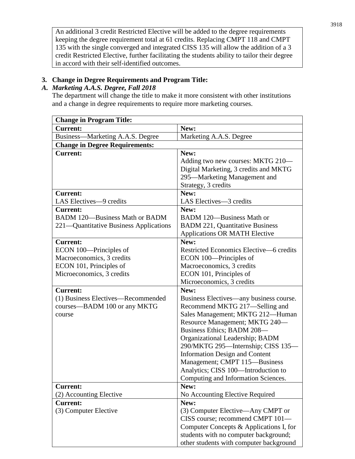An additional 3 credit Restricted Elective will be added to the degree requirements keeping the degree requirement total at 61 credits. Replacing CMPT 118 and CMPT 135 with the single converged and integrated CISS 135 will allow the addition of a 3 credit Restricted Elective, further facilitating the students ability to tailor their degree in accord with their self-identified outcomes.

#### **3. Change in Degree Requirements and Program Title:**

#### *A. Marketing A.A.S. Degree, Fall 2018*

The department will change the title to make it more consistent with other institutions and a change in degree requirements to require more marketing courses.

| <b>Change in Program Title:</b>        |                                         |  |  |
|----------------------------------------|-----------------------------------------|--|--|
| <b>Current:</b>                        | New:                                    |  |  |
| Business—Marketing A.A.S. Degree       | Marketing A.A.S. Degree                 |  |  |
| <b>Change in Degree Requirements:</b>  |                                         |  |  |
| <b>Current:</b>                        | New:                                    |  |  |
|                                        | Adding two new courses: MKTG 210—       |  |  |
|                                        | Digital Marketing, 3 credits and MKTG   |  |  |
|                                        | 295—Marketing Management and            |  |  |
|                                        | Strategy, 3 credits                     |  |  |
| <b>Current:</b>                        | New:                                    |  |  |
| LAS Electives-9 credits                | LAS Electives-3 credits                 |  |  |
| <b>Current:</b>                        | New:                                    |  |  |
| <b>BADM 120-Business Math or BADM</b>  | BADM 120-Business Math or               |  |  |
| 221-Quantitative Business Applications | <b>BADM 221, Quantitative Business</b>  |  |  |
|                                        | <b>Applications OR MATH Elective</b>    |  |  |
| <b>Current:</b>                        | New:                                    |  |  |
| ECON 100—Principles of                 | Restricted Economics Elective-6 credits |  |  |
| Macroeconomics, 3 credits              | ECON 100—Principles of                  |  |  |
| ECON 101, Principles of                | Macroeconomics, 3 credits               |  |  |
| Microeconomics, 3 credits              | ECON 101, Principles of                 |  |  |
|                                        | Microeconomics, 3 credits               |  |  |
| <b>Current:</b>                        | New:                                    |  |  |
| (1) Business Electives—Recommended     | Business Electives—any business course. |  |  |
| courses—BADM 100 or any MKTG           | Recommend MKTG 217-Selling and          |  |  |
| course                                 | Sales Management; MKTG 212-Human        |  |  |
|                                        | Resource Management; MKTG 240-          |  |  |
|                                        | Business Ethics; BADM 208-              |  |  |
|                                        | Organizational Leadership; BADM         |  |  |
|                                        | 290/MKTG 295—Internship; CISS 135—      |  |  |
|                                        | <b>Information Design and Content</b>   |  |  |
|                                        | Management; CMPT 115-Business           |  |  |
|                                        | Analytics; CISS 100-Introduction to     |  |  |
|                                        | Computing and Information Sciences.     |  |  |
| <b>Current:</b>                        | New:                                    |  |  |
| (2) Accounting Elective                | No Accounting Elective Required         |  |  |
| <b>Current:</b>                        | New:                                    |  |  |
| (3) Computer Elective                  | (3) Computer Elective—Any CMPT or       |  |  |
|                                        | CISS course; recommend CMPT 101-        |  |  |
|                                        | Computer Concepts & Applications I, for |  |  |
|                                        | students with no computer background;   |  |  |
|                                        | other students with computer background |  |  |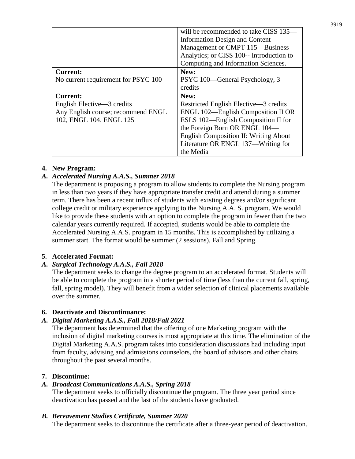|                                     | will be recommended to take CISS 135–        |  |
|-------------------------------------|----------------------------------------------|--|
|                                     | <b>Information Design and Content</b>        |  |
|                                     | Management or CMPT 115-Business              |  |
|                                     | Analytics; or CISS 100-- Introduction to     |  |
|                                     | Computing and Information Sciences.          |  |
| <b>Current:</b>                     | New:                                         |  |
| No current requirement for PSYC 100 | PSYC 100—General Psychology, 3               |  |
|                                     | credits                                      |  |
|                                     |                                              |  |
| <b>Current:</b>                     | New:                                         |  |
| English Elective—3 credits          | Restricted English Elective—3 credits        |  |
| Any English course; recommend ENGL  | ENGL 102—English Composition II OR           |  |
| 102, ENGL 104, ENGL 125             | ESLS 102—English Composition II for          |  |
|                                     | the Foreign Born OR ENGL 104-                |  |
|                                     | <b>English Composition II: Writing About</b> |  |
|                                     | Literature OR ENGL 137—Writing for           |  |

# **4. New Program:**

# *A. Accelerated Nursing A.A.S., Summer 2018*

The department is proposing a program to allow students to complete the Nursing program in less than two years if they have appropriate transfer credit and attend during a summer term. There has been a recent influx of students with existing degrees and/or significant college credit or military experience applying to the Nursing A.A. S. program. We would like to provide these students with an option to complete the program in fewer than the two calendar years currently required. If accepted, students would be able to complete the Accelerated Nursing A.A.S. program in 15 months. This is accomplished by utilizing a summer start. The format would be summer (2 sessions), Fall and Spring.

# **5. Accelerated Format:**

# *A. Surgical Technology A.A.S., Fall 2018*

The department seeks to change the degree program to an accelerated format. Students will be able to complete the program in a shorter period of time (less than the current fall, spring, fall, spring model). They will benefit from a wider selection of clinical placements available over the summer.

# **6. Deactivate and Discontinuance:**

# *A. Digital Marketing A.A.S., Fall 2018/Fall 2021*

The department has determined that the offering of one Marketing program with the inclusion of digital marketing courses is most appropriate at this time. The elimination of the Digital Marketing A.A.S. program takes into consideration discussions had including input from faculty, advising and admissions counselors, the board of advisors and other chairs throughout the past several months.

# **7. Discontinue:**

# *A. Broadcast Communications A.A.S., Spring 2018*

The department seeks to officially discontinue the program. The three year period since deactivation has passed and the last of the students have graduated.

# *B. Bereavement Studies Certificate, Summer 2020*

The department seeks to discontinue the certificate after a three-year period of deactivation.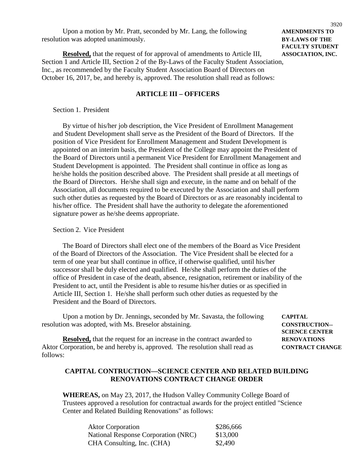| Upon a motion by Mr. Pratt, seconded by Mr. Lang, the following | <b>AMENDMENTS TO</b>  |
|-----------------------------------------------------------------|-----------------------|
| resolution was adopted unanimously.                             | <b>BY-LAWS OF THE</b> |

**Resolved,** that the request of for approval of amendments to Article III, **ASSOCIATION, INC.** Section 1 and Article III, Section 2 of the By-Laws of the Faculty Student Association, Inc., as recommended by the Faculty Student Association Board of Directors on October 16, 2017, be, and hereby is, approved. The resolution shall read as follows:

#### **ARTICLE III – OFFICERS**

#### Section 1. President

By virtue of his/her job description, the Vice President of Enrollment Management and Student Development shall serve as the President of the Board of Directors. If the position of Vice President for Enrollment Management and Student Development is appointed on an interim basis, the President of the College may appoint the President of the Board of Directors until a permanent Vice President for Enrollment Management and Student Development is appointed. The President shall continue in office as long as he/she holds the position described above. The President shall preside at all meetings of the Board of Directors. He/she shall sign and execute, in the name and on behalf of the Association, all documents required to be executed by the Association and shall perform such other duties as requested by the Board of Directors or as are reasonably incidental to his/her office. The President shall have the authority to delegate the aforementioned signature power as he/she deems appropriate.

#### Section 2. Vice President

follows:

The Board of Directors shall elect one of the members of the Board as Vice President of the Board of Directors of the Association. The Vice President shall be elected for a term of one year but shall continue in office, if otherwise qualified, until his/her successor shall be duly elected and qualified. He/she shall perform the duties of the office of President in case of the death, absence, resignation, retirement or inability of the President to act, until the President is able to resume his/her duties or as specified in Article III, Section 1. He/she shall perform such other duties as requested by the President and the Board of Directors.

| Upon a motion by Dr. Jennings, seconded by Mr. Savasta, the following        | <b>CAPITAL</b>         |
|------------------------------------------------------------------------------|------------------------|
| resolution was adopted, with Ms. Breselor abstaining.                        | <b>CONSTRUCTION--</b>  |
|                                                                              | <b>SCIENCE CENTER</b>  |
| <b>Resolved,</b> that the request for an increase in the contract awarded to | <b>RENOVATIONS</b>     |
| Aktor Corporation, be and hereby is, approved. The resolution shall read as  | <b>CONTRACT CHANGE</b> |

#### **CAPITAL CONTRUCTION—SCIENCE CENTER AND RELATED BUILDING RENOVATIONS CONTRACT CHANGE ORDER**

**WHEREAS,** on May 23, 2017, the Hudson Valley Community College Board of Trustees approved a resolution for contractual awards for the project entitled "Science Center and Related Building Renovations" as follows:

| <b>Aktor Corporation</b>                   | \$286,666 |
|--------------------------------------------|-----------|
| <b>National Response Corporation (NRC)</b> | \$13,000  |
| CHA Consulting, Inc. (CHA)                 | \$2,490   |

Upon a motion by Mr. Pratt, seconded by Mr. Lang, the following **AMENDMENTS TO FACULTY STUDENT**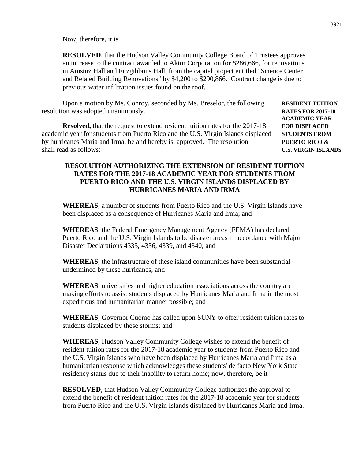Now, therefore, it is

**RESOLVED**, that the Hudson Valley Community College Board of Trustees approves an increase to the contract awarded to Aktor Corporation for \$286,666, for renovations in Amstuz Hall and Fitzgibbons Hall, from the capital project entitled "Science Center and Related Building Renovations" by \$4,200 to \$290,866. Contract change is due to previous water infiltration issues found on the roof.

Upon a motion by Ms. Conroy, seconded by Ms. Breselor, the following **RESIDENT TUITION** resolution was adopted unanimously. **RATES FOR 2017-18**

**Resolved,** that the request to extend resident tuition rates for the 2017-18 **FOR DISPLACED** academic year for students from Puerto Rico and the U.S. Virgin Islands displaced **STUDENTS FROM** by hurricanes Maria and Irma, be and hereby is, approved. The resolution **PUERTO RICO &** shall read as follows: **U.S. VIRGIN ISLANDS**

**ACADEMIC YEAR**

#### **RESOLUTION AUTHORIZING THE EXTENSION OF RESIDENT TUITION RATES FOR THE 2017-18 ACADEMIC YEAR FOR STUDENTS FROM PUERTO RICO AND THE U.S. VIRGIN ISLANDS DISPLACED BY HURRICANES MARIA AND IRMA**

**WHEREAS**, a number of students from Puerto Rico and the U.S. Virgin Islands have been displaced as a consequence of Hurricanes Maria and Irma; and

**WHEREAS**, the Federal Emergency Management Agency (FEMA) has declared Puerto Rico and the U.S. Virgin Islands to be disaster areas in accordance with Major Disaster Declarations 4335, 4336, 4339, and 4340; and

**WHEREAS**, the infrastructure of these island communities have been substantial undermined by these hurricanes; and

**WHEREAS**, universities and higher education associations across the country are making efforts to assist students displaced by Hurricanes Maria and Irma in the most expeditious and humanitarian manner possible; and

**WHEREAS**, Governor Cuomo has called upon SUNY to offer resident tuition rates to students displaced by these storms; and

**WHEREAS**, Hudson Valley Community College wishes to extend the benefit of resident tuition rates for the 2017-18 academic year to students from Puerto Rico and the U.S. Virgin Islands who have been displaced by Hurricanes Maria and Irma as a humanitarian response which acknowledges these students' de facto New York State residency status due to their inability to return home; now, therefore, be it

**RESOLVED**, that Hudson Valley Community College authorizes the approval to extend the benefit of resident tuition rates for the 2017-18 academic year for students from Puerto Rico and the U.S. Virgin Islands displaced by Hurricanes Maria and Irma.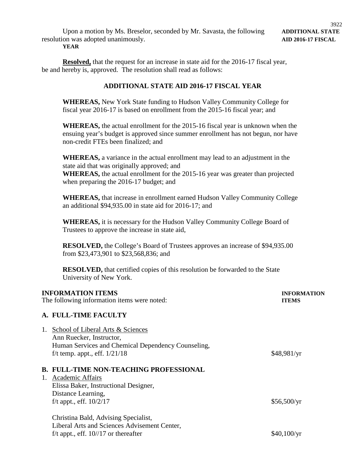#### **YEAR**

**Resolved,** that the request for an increase in state aid for the 2016-17 fiscal year, be and hereby is, approved. The resolution shall read as follows:

#### **ADDITIONAL STATE AID 2016-17 FISCAL YEAR**

**WHEREAS,** New York State funding to Hudson Valley Community College for fiscal year 2016-17 is based on enrollment from the 2015-16 fiscal year; and

**WHEREAS,** the actual enrollment for the 2015-16 fiscal year is unknown when the ensuing year's budget is approved since summer enrollment has not begun, nor have non-credit FTEs been finalized; and

**WHEREAS,** a variance in the actual enrollment may lead to an adjustment in the state aid that was originally approved; and **WHEREAS,** the actual enrollment for the 2015-16 year was greater than projected when preparing the 2016-17 budget; and

**WHEREAS,** that increase in enrollment earned Hudson Valley Community College an additional \$94,935.00 in state aid for 2016-17; and

**WHEREAS,** it is necessary for the Hudson Valley Community College Board of Trustees to approve the increase in state aid,

**RESOLVED,** the College's Board of Trustees approves an increase of \$94,935.00 from \$23,473,901 to \$23,568,836; and

**RESOLVED,** that certified copies of this resolution be forwarded to the State University of New York.

#### **INFORMATION ITEMS INFORMATION**

The following information items were noted: **ITEMS**

# **A. FULL-TIME FACULTY**

| 1. | School of Liberal Arts & Sciences<br>Ann Ruecker, Instructor,<br>Human Services and Chemical Dependency Counseling,<br>f/t temp. appt., eff. $1/21/18$                              | \$48,981/yr |
|----|-------------------------------------------------------------------------------------------------------------------------------------------------------------------------------------|-------------|
| 1. | <b>B. FULL-TIME NON-TEACHING PROFESSIONAL</b><br><b>Academic Affairs</b><br>Elissa Baker, Instructional Designer,<br>Distance Learning,<br>f/t appt., eff. $10/2/17$<br>\$56,500/yr |             |
|    | Christina Bald, Advising Specialist,<br>Liberal Arts and Sciences Advisement Center,<br>f/t appt., eff. $10^{1/17}$ or thereafter                                                   | \$40.100/yr |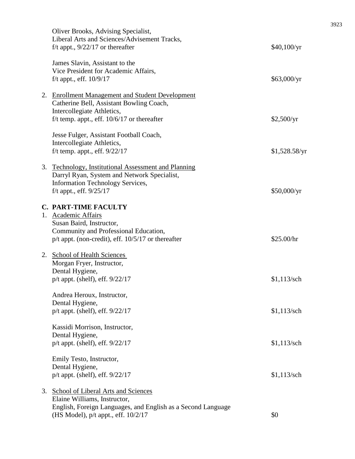|    | Oliver Brooks, Advising Specialist,<br>Liberal Arts and Sciences/Advisement Tracks,<br>f/t appt., $9/22/17$ or thereafter                                                         | \$40,100/yr   |
|----|-----------------------------------------------------------------------------------------------------------------------------------------------------------------------------------|---------------|
|    | James Slavin, Assistant to the<br>Vice President for Academic Affairs,<br>f/t appt., eff. $10/9/17$                                                                               | \$63,000/yr   |
|    | 2. Enrollment Management and Student Development<br>Catherine Bell, Assistant Bowling Coach,<br>Intercollegiate Athletics,<br>f/t temp. appt., eff. $10/6/17$ or thereafter       | \$2,500/yr    |
|    | Jesse Fulger, Assistant Football Coach,<br>Intercollegiate Athletics,<br>f/t temp. appt., eff. $9/22/17$                                                                          | \$1,528.58/yr |
|    | 3. Technology, Institutional Assessment and Planning<br>Darryl Ryan, System and Network Specialist,<br><b>Information Technology Services,</b><br>f/t appt., eff. 9/25/17         | \$50,000/yr   |
|    | <b>C. PART-TIME FACULTY</b><br>1. Academic Affairs<br>Susan Baird, Instructor,<br>Community and Professional Education,<br>$p/t$ appt. (non-credit), eff. $10/5/17$ or thereafter | \$25.00/hr    |
|    | 2. School of Health Sciences<br>Morgan Fryer, Instructor,<br>Dental Hygiene,<br>$p/t$ appt. (shelf), eff. $9/22/17$                                                               | $$1,113$ /sch |
|    | Andrea Heroux, Instructor,<br>Dental Hygiene,<br>$p/t$ appt. (shelf), eff. $9/22/17$                                                                                              | $$1,113$ /sch |
|    | Kassidi Morrison, Instructor,<br>Dental Hygiene,<br>$p/t$ appt. (shelf), eff. $9/22/17$                                                                                           | $$1,113$ /sch |
|    | Emily Testo, Instructor,<br>Dental Hygiene,<br>$p/t$ appt. (shelf), eff. $9/22/17$                                                                                                | $$1,113$ /sch |
| 3. | <b>School of Liberal Arts and Sciences</b><br>Elaine Williams, Instructor,<br>English, Foreign Languages, and English as a Second Language<br>(HS Model), p/t appt., eff. 10/2/17 | \$0           |